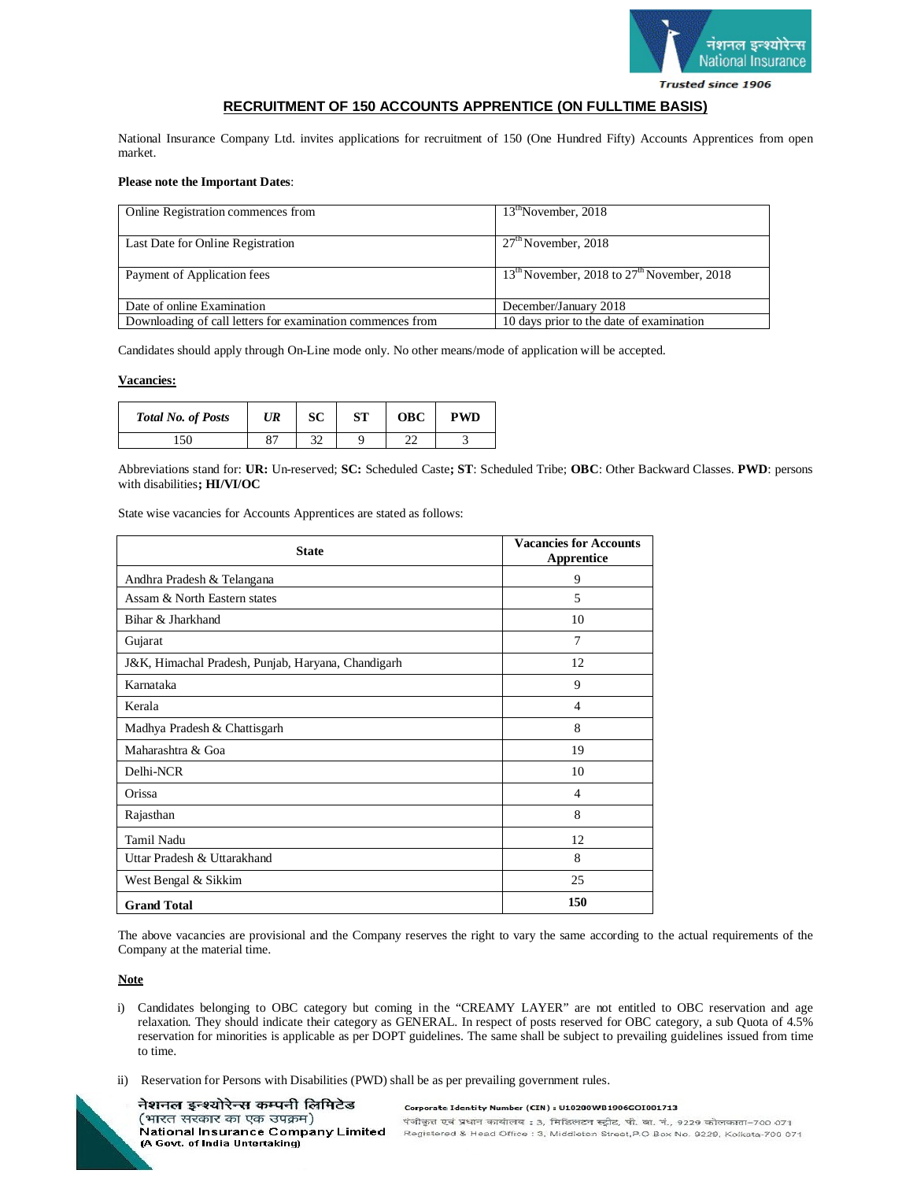

# **RECRUITMENT OF 150 ACCOUNTS APPRENTICE (ON FULLTIME BASIS)**

National Insurance Company Ltd. invites applications for recruitment of 150 (One Hundred Fifty) Accounts Apprentices from open market.

## **Please note the Important Dates**:

| Online Registration commences from                         | 13 <sup>th</sup> November, 2018                      |
|------------------------------------------------------------|------------------------------------------------------|
| Last Date for Online Registration                          | $27th$ November, 2018                                |
| Payment of Application fees                                | $13^{th}$ November, 2018 to $27^{th}$ November, 2018 |
| Date of online Examination                                 | December/January 2018                                |
| Downloading of call letters for examination commences from | 10 days prior to the date of examination             |

Candidates should apply through On-Line mode only. No other means/mode of application will be accepted.

#### **Vacancies:**

| <b>Total No. of Posts</b> | UR | SC | <b>ST</b> | <b>OBC</b> | <b>PWD</b> |
|---------------------------|----|----|-----------|------------|------------|
|                           | o- |    |           | nn<br>ے ت  |            |

Abbreviations stand for: **UR:** Un-reserved; **SC:** Scheduled Caste**; ST**: Scheduled Tribe; **OBC**: Other Backward Classes. **PWD**: persons with disabilities**; HI/VI/OC**

State wise vacancies for Accounts Apprentices are stated as follows:

| <b>State</b>                                       | <b>Vacancies for Accounts</b><br>Apprentice |
|----------------------------------------------------|---------------------------------------------|
| Andhra Pradesh & Telangana                         | 9                                           |
| Assam & North Eastern states                       | 5                                           |
| Bihar & Jharkhand                                  | 10                                          |
| Gujarat                                            | 7                                           |
| J&K, Himachal Pradesh, Punjab, Haryana, Chandigarh | 12                                          |
| Karnataka                                          | 9                                           |
| Kerala                                             | $\overline{4}$                              |
| Madhya Pradesh & Chattisgarh                       | 8                                           |
| Maharashtra & Goa                                  | 19                                          |
| Delhi-NCR                                          | 10                                          |
| Orissa                                             | $\overline{4}$                              |
| Rajasthan                                          | 8                                           |
| Tamil Nadu                                         | 12                                          |
| Uttar Pradesh & Uttarakhand                        | 8                                           |
| West Bengal & Sikkim                               | 25                                          |
| <b>Grand Total</b>                                 | 150                                         |

The above vacancies are provisional and the Company reserves the right to vary the same according to the actual requirements of the Company at the material time.

**Note** 

- i) Candidates belonging to OBC category but coming in the "CREAMY LAYER" are not entitled to OBC reservation and age relaxation. They should indicate their category as GENERAL. In respect of posts reserved for OBC category, a sub Quota of 4.5% reservation for minorities is applicable as per DOPT guidelines. The same shall be subject to prevailing guidelines issued from time to time.
- ii) Reservation for Persons with Disabilities (PWD) shall be as per prevailing government rules.

नेशनल इन्श्योरेन्स कम्पनी लिमिटेड (भारत सरकार का एक उपक्रम) National Insurance Company Limited (A Govt. of India Untertaking)

Corporate Identity Number (CIN) : U10200WB1906GOI001713 पंजीकृत एवं प्रधान कार्यालय : 3, मिडिलटन स्ट्रीट, पी. बा. नं., 9229 कोलकाता-700 071 Registered & Head Office : 3, Middleton Street, P.O Box No. 9229, Kolkata-700 071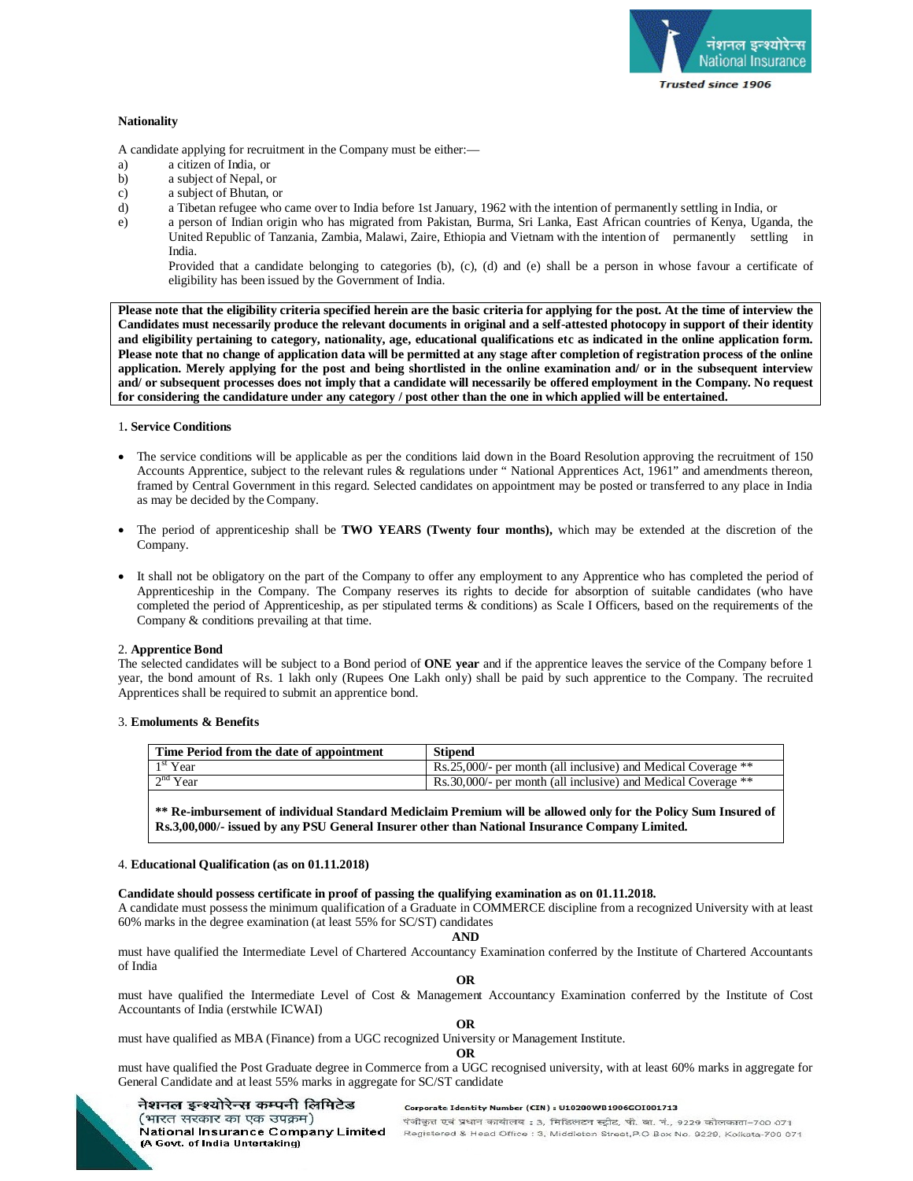

## **Nationality**

A candidate applying for recruitment in the Company must be either:—

- a) a citizen of India, or
- b) a subject of Nepal, or
- c) a subject of Bhutan, or
- d) a Tibetan refugee who came over to India before 1st January, 1962 with the intention of permanently settling in India, or
- e) a person of Indian origin who has migrated from Pakistan, Burma, Sri Lanka, East African countries of Kenya, Uganda, the United Republic of Tanzania, Zambia, Malawi, Zaire, Ethiopia and Vietnam with the intention of permanently settling in India.

Provided that a candidate belonging to categories (b), (c), (d) and (e) shall be a person in whose favour a certificate of eligibility has been issued by the Government of India.

**Please note that the eligibility criteria specified herein are the basic criteria for applying for the post. At the time of interview the Candidates must necessarily produce the relevant documents in original and a self-attested photocopy in support of their identity and eligibility pertaining to category, nationality, age, educational qualifications etc as indicated in the online application form. Please note that no change of application data will be permitted at any stage after completion of registration process of the online application. Merely applying for the post and being shortlisted in the online examination and/ or in the subsequent interview and/ or subsequent processes does not imply that a candidate will necessarily be offered employment in the Company. No request for considering the candidature under any category / post other than the one in which applied will be entertained.** 

## 1**. Service Conditions**

- The service conditions will be applicable as per the conditions laid down in the Board Resolution approving the recruitment of 150 Accounts Apprentice, subject to the relevant rules & regulations under " National Apprentices Act, 1961" and amendments thereon, framed by Central Government in this regard. Selected candidates on appointment may be posted or transferred to any place in India as may be decided by the Company.
- The period of apprenticeship shall be **TWO YEARS (Twenty four months),** which may be extended at the discretion of the Company.
- It shall not be obligatory on the part of the Company to offer any employment to any Apprentice who has completed the period of Apprenticeship in the Company. The Company reserves its rights to decide for absorption of suitable candidates (who have completed the period of Apprenticeship, as per stipulated terms & conditions) as Scale I Officers, based on the requirements of the Company & conditions prevailing at that time.

## 2. **Apprentice Bond**

The selected candidates will be subject to a Bond period of **ONE year** and if the apprentice leaves the service of the Company before 1 year, the bond amount of Rs. 1 lakh only (Rupees One Lakh only) shall be paid by such apprentice to the Company. The recruited Apprentices shall be required to submit an apprentice bond.

## 3. **Emoluments & Benefits**

| 1 <sup>st</sup> Year<br>Rs.25,000/- per month (all inclusive) and Medical Coverage ** | Time Period from the date of appointment | <b>Stipend</b>                                                 |
|---------------------------------------------------------------------------------------|------------------------------------------|----------------------------------------------------------------|
|                                                                                       |                                          |                                                                |
|                                                                                       | $2nd$ Year                               | Rs. 30,000/- per month (all inclusive) and Medical Coverage ** |

**\*\* Re-imbursement of individual Standard Mediclaim Premium will be allowed only for the Policy Sum Insured of Rs.3,00,000/- issued by any PSU General Insurer other than National Insurance Company Limited.**

#### 4. **Educational Qualification (as on 01.11.2018)**

(A Govt. of India Untertaking)

## **Candidate should possess certificate in proof of passing the qualifying examination as on 01.11.2018.**

A candidate must possess the minimum qualification of a Graduate in COMMERCE discipline from a recognized University with at least 60% marks in the degree examination (at least 55% for SC/ST) candidates

**AND**

must have qualified the Intermediate Level of Chartered Accountancy Examination conferred by the Institute of Chartered Accountants of India

**OR**

must have qualified the Intermediate Level of Cost & Management Accountancy Examination conferred by the Institute of Cost Accountants of India (erstwhile ICWAI)

**OR**

must have qualified as MBA (Finance) from a UGC recognized University or Management Institute.

**OR**

must have qualified the Post Graduate degree in Commerce from a UGC recognised university, with at least 60% marks in aggregate for General Candidate and at least 55% marks in aggregate for SC/ST candidate

#### नेशनल इन्श्योरेन्स कम्पनी लिमिटेड Corporate Identity Number (CIN) : U10200WB1906GOI001713 (भारत सरकार का एक उपक्रम) National Insurance Company Limited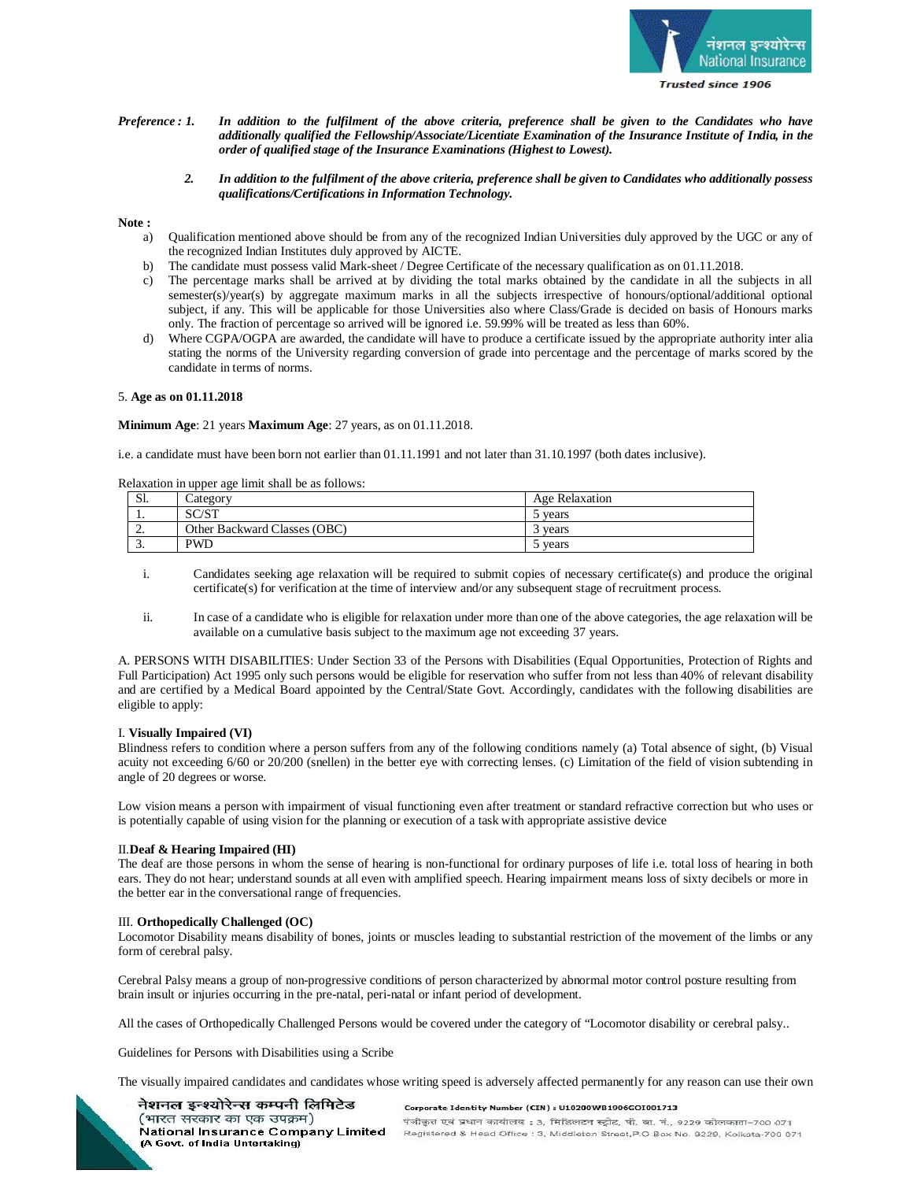

- *Preference : 1. In addition to the fulfilment of the above criteria, preference shall be given to the Candidates who have additionally qualified the Fellowship/Associate/Licentiate Examination of the Insurance Institute of India, in the order of qualified stage of the Insurance Examinations (Highest to Lowest).*
	- *2. In addition to the fulfilment of the above criteria, preference shall be given to Candidates who additionally possess qualifications/Certifications in Information Technology.*

#### **Note :**

- a) Qualification mentioned above should be from any of the recognized Indian Universities duly approved by the UGC or any of the recognized Indian Institutes duly approved by AICTE.
- b) The candidate must possess valid Mark-sheet / Degree Certificate of the necessary qualification as on 01.11.2018.
- c) The percentage marks shall be arrived at by dividing the total marks obtained by the candidate in all the subjects in all semester(s)/year(s) by aggregate maximum marks in all the subjects irrespective of honours/optional/additional optional subject, if any. This will be applicable for those Universities also where Class/Grade is decided on basis of Honours marks only. The fraction of percentage so arrived will be ignored i.e. 59.99% will be treated as less than 60%.
- Where CGPA/OGPA are awarded, the candidate will have to produce a certificate issued by the appropriate authority inter alia stating the norms of the University regarding conversion of grade into percentage and the percentage of marks scored by the candidate in terms of norms.

## 5. **Age as on 01.11.2018**

**Minimum Age**: 21 years **Maximum Age**: 27 years, as on 01.11.2018.

i.e. a candidate must have been born not earlier than 01.11.1991 and not later than 31.10.1997 (both dates inclusive).

Relaxation in upper age limit shall be as follows:

| $\alpha$ <sub>1</sub><br>Ы. | Category                     | Age Relaxation |
|-----------------------------|------------------------------|----------------|
| . .                         | C/CT<br><b>JUJI</b>          | vears          |
| <u>.</u>                    | Other Backward Classes (OBC) | vears          |
| <u>.</u>                    | <b>PWD</b>                   | vears          |

- i. Candidates seeking age relaxation will be required to submit copies of necessary certificate(s) and produce the original certificate(s) for verification at the time of interview and/or any subsequent stage of recruitment process.
- ii. In case of a candidate who is eligible for relaxation under more than one of the above categories, the age relaxation will be available on a cumulative basis subject to the maximum age not exceeding 37 years.

A. PERSONS WITH DISABILITIES: Under Section 33 of the Persons with Disabilities (Equal Opportunities, Protection of Rights and Full Participation) Act 1995 only such persons would be eligible for reservation who suffer from not less than 40% of relevant disability and are certified by a Medical Board appointed by the Central/State Govt. Accordingly, candidates with the following disabilities are eligible to apply:

#### I. **Visually Impaired (VI)**

Blindness refers to condition where a person suffers from any of the following conditions namely (a) Total absence of sight, (b) Visual acuity not exceeding 6/60 or 20/200 (snellen) in the better eye with correcting lenses. (c) Limitation of the field of vision subtending in angle of 20 degrees or worse.

Low vision means a person with impairment of visual functioning even after treatment or standard refractive correction but who uses or is potentially capable of using vision for the planning or execution of a task with appropriate assistive device

## II.**Deaf & Hearing Impaired (HI)**

The deaf are those persons in whom the sense of hearing is non-functional for ordinary purposes of life i.e. total loss of hearing in both ears. They do not hear; understand sounds at all even with amplified speech. Hearing impairment means loss of sixty decibels or more in the better ear in the conversational range of frequencies.

#### III. **Orthopedically Challenged (OC)**

Locomotor Disability means disability of bones, joints or muscles leading to substantial restriction of the movement of the limbs or any form of cerebral palsy.

Cerebral Palsy means a group of non-progressive conditions of person characterized by abnormal motor control posture resulting from brain insult or injuries occurring in the pre-natal, peri-natal or infant period of development.

All the cases of Orthopedically Challenged Persons would be covered under the category of "Locomotor disability or cerebral palsy..

Guidelines for Persons with Disabilities using a Scribe

The visually impaired candidates and candidates whose writing speed is adversely affected permanently for any reason can use their own

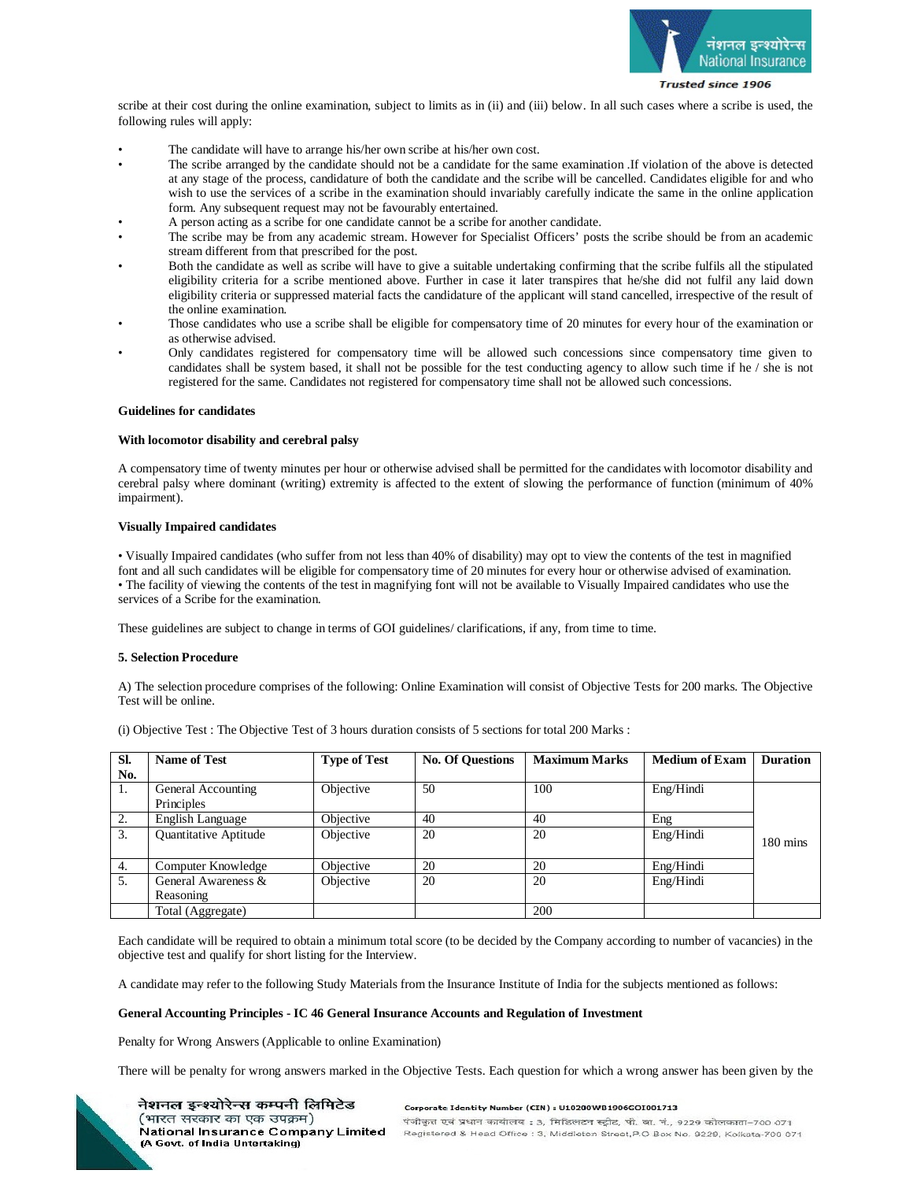

scribe at their cost during the online examination, subject to limits as in (ii) and (iii) below. In all such cases where a scribe is used, the following rules will apply:

- The candidate will have to arrange his/her own scribe at his/her own cost.
- The scribe arranged by the candidate should not be a candidate for the same examination .If violation of the above is detected at any stage of the process, candidature of both the candidate and the scribe will be cancelled. Candidates eligible for and who wish to use the services of a scribe in the examination should invariably carefully indicate the same in the online application form. Any subsequent request may not be favourably entertained.
- A person acting as a scribe for one candidate cannot be a scribe for another candidate.
- The scribe may be from any academic stream. However for Specialist Officers' posts the scribe should be from an academic stream different from that prescribed for the post.
- Both the candidate as well as scribe will have to give a suitable undertaking confirming that the scribe fulfils all the stipulated eligibility criteria for a scribe mentioned above. Further in case it later transpires that he/she did not fulfil any laid down eligibility criteria or suppressed material facts the candidature of the applicant will stand cancelled, irrespective of the result of the online examination.
- Those candidates who use a scribe shall be eligible for compensatory time of 20 minutes for every hour of the examination or as otherwise advised.
- Only candidates registered for compensatory time will be allowed such concessions since compensatory time given to candidates shall be system based, it shall not be possible for the test conducting agency to allow such time if he / she is not registered for the same. Candidates not registered for compensatory time shall not be allowed such concessions.

## **Guidelines for candidates**

#### **With locomotor disability and cerebral palsy**

A compensatory time of twenty minutes per hour or otherwise advised shall be permitted for the candidates with locomotor disability and cerebral palsy where dominant (writing) extremity is affected to the extent of slowing the performance of function (minimum of 40% impairment).

## **Visually Impaired candidates**

• Visually Impaired candidates (who suffer from not less than 40% of disability) may opt to view the contents of the test in magnified font and all such candidates will be eligible for compensatory time of 20 minutes for every hour or otherwise advised of examination. • The facility of viewing the contents of the test in magnifying font will not be available to Visually Impaired candidates who use the services of a Scribe for the examination.

These guidelines are subject to change in terms of GOI guidelines/ clarifications, if any, from time to time.

## **5. Selection Procedure**

A) The selection procedure comprises of the following: Online Examination will consist of Objective Tests for 200 marks. The Objective Test will be online.

| Sl. | <b>Name of Test</b>          | <b>Type of Test</b> | <b>No. Of Questions</b> | <b>Maximum Marks</b> | <b>Medium of Exam</b> | <b>Duration</b>    |
|-----|------------------------------|---------------------|-------------------------|----------------------|-----------------------|--------------------|
| No. |                              |                     |                         |                      |                       |                    |
| 1.  | General Accounting           | Objective           | 50                      | 100                  | Eng/Hindi             |                    |
|     | Principles                   |                     |                         |                      |                       |                    |
| 2.  | English Language             | Objective           | 40                      | 40                   | Eng                   |                    |
| 3.  | <b>Ouantitative Aptitude</b> | Objective           | 20                      | 20                   | Eng/Hindi             | $180 \text{ mins}$ |
|     |                              |                     |                         |                      |                       |                    |
| 4.  | Computer Knowledge           | Objective           | 20                      | 20                   | Eng/Hindi             |                    |
| 5.  | General Awareness &          | Objective           | 20                      | 20                   | Eng/Hindi             |                    |
|     | Reasoning                    |                     |                         |                      |                       |                    |
|     | Total (Aggregate)            |                     |                         | 200                  |                       |                    |

(i) Objective Test : The Objective Test of 3 hours duration consists of 5 sections for total 200 Marks :

Each candidate will be required to obtain a minimum total score (to be decided by the Company according to number of vacancies) in the objective test and qualify for short listing for the Interview.

A candidate may refer to the following Study Materials from the Insurance Institute of India for the subjects mentioned as follows:

#### **General Accounting Principles - IC 46 General Insurance Accounts and Regulation of Investment**

Penalty for Wrong Answers (Applicable to online Examination)

There will be penalty for wrong answers marked in the Objective Tests. Each question for which a wrong answer has been given by the



नेशनल इन्श्योरेन्स कम्पनी लिमिटेड (भारत सरकार का एक उपक्रम)

(A Govt. of India Untertaking)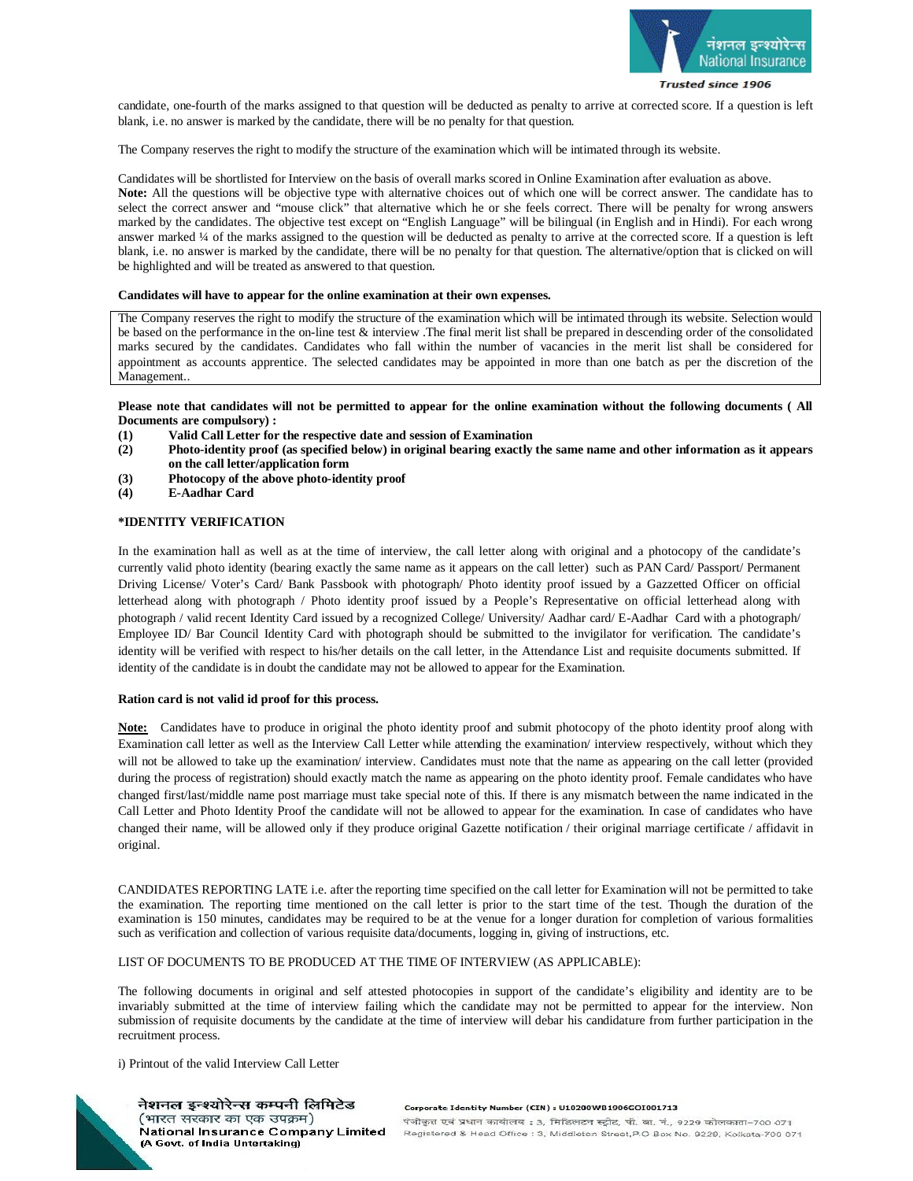

candidate, one-fourth of the marks assigned to that question will be deducted as penalty to arrive at corrected score. If a question is left blank, i.e. no answer is marked by the candidate, there will be no penalty for that question.

The Company reserves the right to modify the structure of the examination which will be intimated through its website.

Candidates will be shortlisted for Interview on the basis of overall marks scored in Online Examination after evaluation as above. **Note:** All the questions will be objective type with alternative choices out of which one will be correct answer. The candidate has to select the correct answer and "mouse click" that alternative which he or she feels correct. There will be penalty for wrong answers marked by the candidates. The objective test except on "English Language" will be bilingual (in English and in Hindi). For each wrong answer marked ¼ of the marks assigned to the question will be deducted as penalty to arrive at the corrected score. If a question is left blank, i.e. no answer is marked by the candidate, there will be no penalty for that question. The alternative/option that is clicked on will be highlighted and will be treated as answered to that question.

#### **Candidates will have to appear for the online examination at their own expenses.**

The Company reserves the right to modify the structure of the examination which will be intimated through its website. Selection would be based on the performance in the on-line test & interview .The final merit list shall be prepared in descending order of the consolidated marks secured by the candidates. Candidates who fall within the number of vacancies in the merit list shall be considered for appointment as accounts apprentice. The selected candidates may be appointed in more than one batch as per the discretion of the Management..

**Please note that candidates will not be permitted to appear for the online examination without the following documents ( All Documents are compulsory) :** 

- **(1) Valid Call Letter for the respective date and session of Examination**
- **(2) Photo-identity proof (as specified below) in original bearing exactly the same name and other information as it appears on the call letter/application form**
- **(3) Photocopy of the above photo-identity proof**
- **(4) E-Aadhar Card**

#### **\*IDENTITY VERIFICATION**

In the examination hall as well as at the time of interview, the call letter along with original and a photocopy of the candidate's currently valid photo identity (bearing exactly the same name as it appears on the call letter) such as PAN Card/ Passport/ Permanent Driving License/ Voter's Card/ Bank Passbook with photograph/ Photo identity proof issued by a Gazzetted Officer on official letterhead along with photograph / Photo identity proof issued by a People's Representative on official letterhead along with photograph / valid recent Identity Card issued by a recognized College/ University/ Aadhar card/ E-Aadhar Card with a photograph/ Employee ID/ Bar Council Identity Card with photograph should be submitted to the invigilator for verification. The candidate's identity will be verified with respect to his/her details on the call letter, in the Attendance List and requisite documents submitted. If identity of the candidate is in doubt the candidate may not be allowed to appear for the Examination.

#### **Ration card is not valid id proof for this process.**

**Note:** Candidates have to produce in original the photo identity proof and submit photocopy of the photo identity proof along with Examination call letter as well as the Interview Call Letter while attending the examination/ interview respectively, without which they will not be allowed to take up the examination/ interview. Candidates must note that the name as appearing on the call letter (provided during the process of registration) should exactly match the name as appearing on the photo identity proof. Female candidates who have changed first/last/middle name post marriage must take special note of this. If there is any mismatch between the name indicated in the Call Letter and Photo Identity Proof the candidate will not be allowed to appear for the examination. In case of candidates who have changed their name, will be allowed only if they produce original Gazette notification / their original marriage certificate / affidavit in original.

CANDIDATES REPORTING LATE i.e. after the reporting time specified on the call letter for Examination will not be permitted to take the examination. The reporting time mentioned on the call letter is prior to the start time of the test. Though the duration of the examination is 150 minutes, candidates may be required to be at the venue for a longer duration for completion of various formalities such as verification and collection of various requisite data/documents, logging in, giving of instructions, etc.

LIST OF DOCUMENTS TO BE PRODUCED AT THE TIME OF INTERVIEW (AS APPLICABLE):

The following documents in original and self attested photocopies in support of the candidate's eligibility and identity are to be invariably submitted at the time of interview failing which the candidate may not be permitted to appear for the interview. Non submission of requisite documents by the candidate at the time of interview will debar his candidature from further participation in the recruitment process.

i) Printout of the valid Interview Call Letter



#### नेशनल इन्श्योरेन्स कम्पनी लिमिटेड (भारत सरकार का एक उपक्रम) National Insurance Company Limited (A Govt. of India Untertaking)

Corporate Identity Number (CIN) : U10200WB1906GOI001713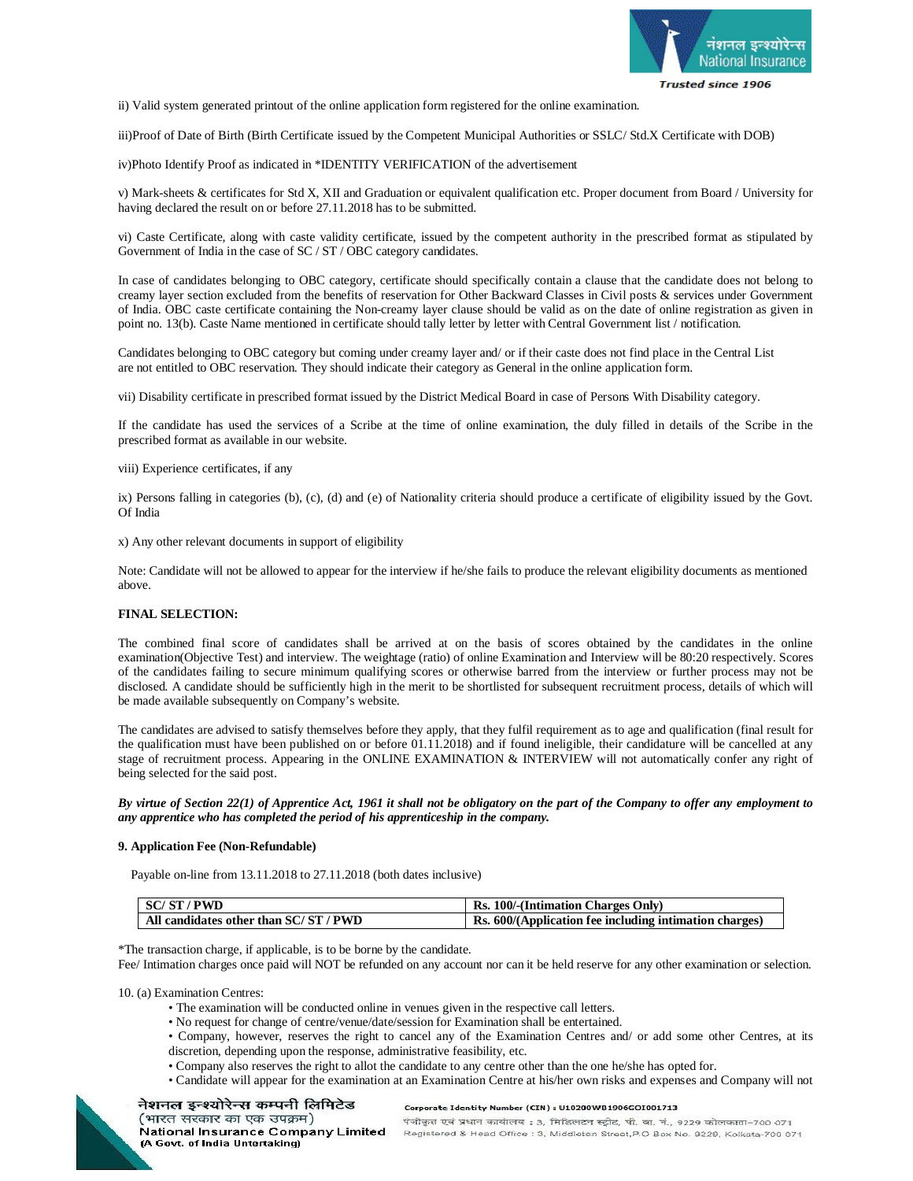

ii) Valid system generated printout of the online application form registered for the online examination.

iii)Proof of Date of Birth (Birth Certificate issued by the Competent Municipal Authorities or SSLC/ Std.X Certificate with DOB)

iv)Photo Identify Proof as indicated in \*IDENTITY VERIFICATION of the advertisement

v) Mark-sheets & certificates for Std X, XII and Graduation or equivalent qualification etc. Proper document from Board / University for having declared the result on or before 27.11.2018 has to be submitted.

vi) Caste Certificate, along with caste validity certificate, issued by the competent authority in the prescribed format as stipulated by Government of India in the case of SC / ST / OBC category candidates.

In case of candidates belonging to OBC category, certificate should specifically contain a clause that the candidate does not belong to creamy layer section excluded from the benefits of reservation for Other Backward Classes in Civil posts & services under Government of India. OBC caste certificate containing the Non-creamy layer clause should be valid as on the date of online registration as given in point no. 13(b). Caste Name mentioned in certificate should tally letter by letter with Central Government list / notification.

Candidates belonging to OBC category but coming under creamy layer and/ or if their caste does not find place in the Central List are not entitled to OBC reservation. They should indicate their category as General in the online application form.

vii) Disability certificate in prescribed format issued by the District Medical Board in case of Persons With Disability category.

If the candidate has used the services of a Scribe at the time of online examination, the duly filled in details of the Scribe in the prescribed format as available in our website.

viii) Experience certificates, if any

ix) Persons falling in categories (b), (c), (d) and (e) of Nationality criteria should produce a certificate of eligibility issued by the Govt. Of India

x) Any other relevant documents in support of eligibility

Note: Candidate will not be allowed to appear for the interview if he/she fails to produce the relevant eligibility documents as mentioned above.

### **FINAL SELECTION:**

The combined final score of candidates shall be arrived at on the basis of scores obtained by the candidates in the online examination(Objective Test) and interview. The weightage (ratio) of online Examination and Interview will be 80:20 respectively. Scores of the candidates failing to secure minimum qualifying scores or otherwise barred from the interview or further process may not be disclosed. A candidate should be sufficiently high in the merit to be shortlisted for subsequent recruitment process, details of which will be made available subsequently on Company's website.

The candidates are advised to satisfy themselves before they apply, that they fulfil requirement as to age and qualification (final result for the qualification must have been published on or before 01.11.2018) and if found ineligible, their candidature will be cancelled at any stage of recruitment process. Appearing in the ONLINE EXAMINATION & INTERVIEW will not automatically confer any right of being selected for the said post.

*By virtue of Section 22(1) of Apprentice Act, 1961 it shall not be obligatory on the part of the Company to offer any employment to any apprentice who has completed the period of his apprenticeship in the company.*

#### **9. Application Fee (Non-Refundable)**

Payable on-line from 13.11.2018 to 27.11.2018 (both dates inclusive)

| <b>SC/ST/PWD</b>                    | Rs. 100/-(Intimation Charges Only)                     |
|-------------------------------------|--------------------------------------------------------|
| All candidates other than SC/ST/PWD | Rs. 600/(Application fee including intimation charges) |

\*The transaction charge, if applicable, is to be borne by the candidate.

Fee/ Intimation charges once paid will NOT be refunded on any account nor can it be held reserve for any other examination or selection.

10. (a) Examination Centres:

- The examination will be conducted online in venues given in the respective call letters.
- No request for change of centre/venue/date/session for Examination shall be entertained.
- Company, however, reserves the right to cancel any of the Examination Centres and/ or add some other Centres, at its discretion, depending upon the response, administrative feasibility, etc.
- Company also reserves the right to allot the candidate to any centre other than the one he/she has opted for.
- Candidate will appear for the examination at an Examination Centre at his/her own risks and expenses and Company will not



#### Corporate Identity Number (CIN) : U10200WB1906GOI001713

(भारत सरकार का एक उपक्रम) National Insurance Company Limited (A Govt. of India Untertaking)

नेशनल इन्श्योरेन्स कम्पनी लिमिटेड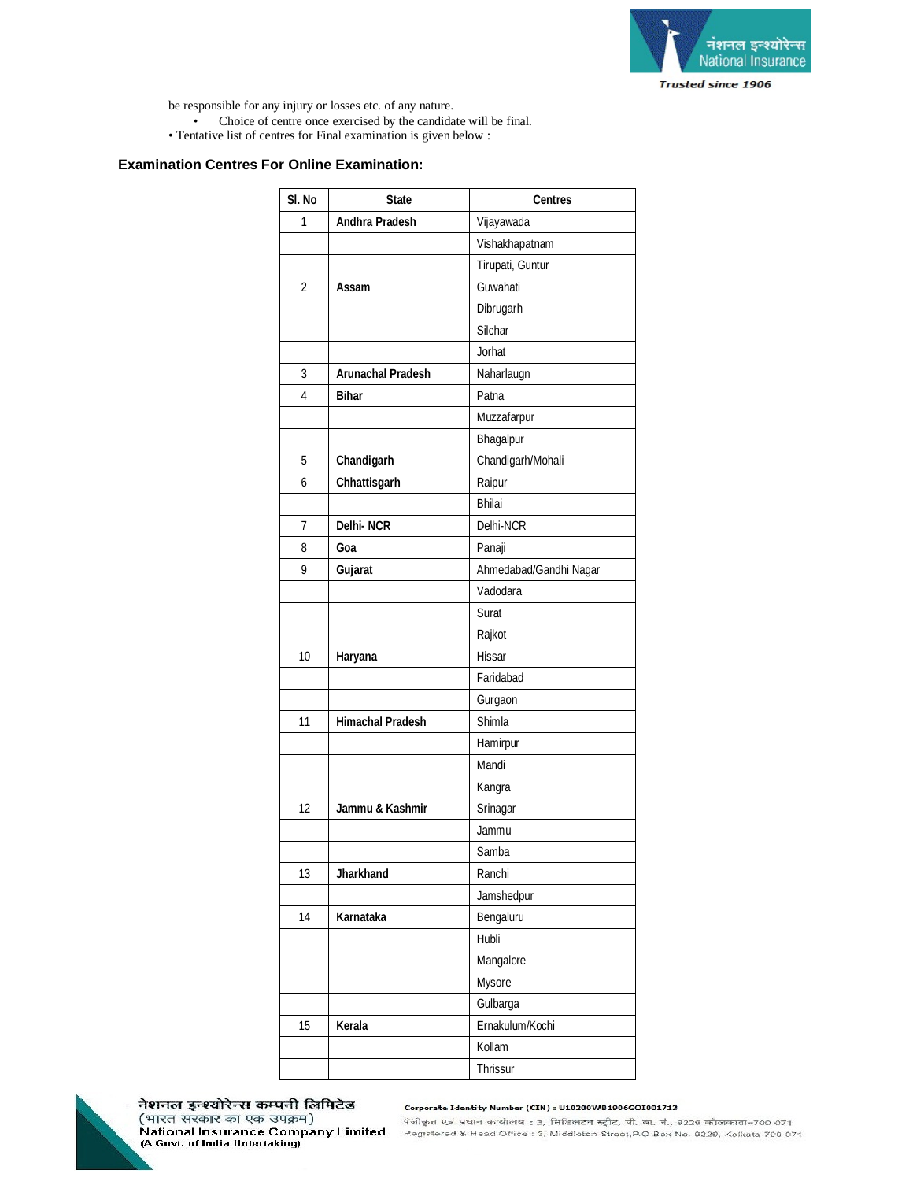

be responsible for any injury or losses etc. of any nature. • Choice of centre once exercised by the candidate will be final.

• Tentative list of centres for Final examination is given below :

# **Examination Centres For Online Examination:**

| SI. No | <b>State</b>             | <b>Centres</b>         |
|--------|--------------------------|------------------------|
| 1      | Andhra Pradesh           | Vijayawada             |
|        |                          | Vishakhapatnam         |
|        |                          | Tirupati, Guntur       |
| 2      | Assam                    | Guwahati               |
|        |                          | Dibrugarh              |
|        |                          | Silchar                |
|        |                          | Jorhat                 |
| 3      | <b>Arunachal Pradesh</b> | Naharlaugn             |
| 4      | <b>Bihar</b>             | Patna                  |
|        |                          | Muzzafarpur            |
|        |                          | Bhagalpur              |
| 5      | Chandigarh               | Chandigarh/Mohali      |
| 6      | Chhattisgarh             | Raipur                 |
|        |                          | <b>Bhilai</b>          |
| 7      | <b>Delhi-NCR</b>         | Delhi-NCR              |
| 8      | Goa                      | Panaji                 |
| 9      | Gujarat                  | Ahmedabad/Gandhi Nagar |
|        |                          | Vadodara               |
|        |                          | Surat                  |
|        |                          | Rajkot                 |
| 10     | Haryana                  | Hissar                 |
|        |                          | Faridabad              |
|        |                          | Gurgaon                |
| 11     | <b>Himachal Pradesh</b>  | Shimla                 |
|        |                          | Hamirpur               |
|        |                          | Mandi                  |
|        |                          | Kangra                 |
| 12     | Jammu & Kashmir          | Srinagar               |
|        |                          | Jammu                  |
|        |                          | Samba                  |
| 13     | <b>Jharkhand</b>         | Ranchi                 |
|        |                          | Jamshedpur             |
| 14     | Karnataka                | Bengaluru              |
|        |                          | Hubli                  |
|        |                          | Mangalore              |
|        |                          | Mysore                 |
|        |                          | Gulbarga               |
| 15     | Kerala                   | Ernakulum/Kochi        |
|        |                          | Kollam                 |
|        |                          | Thrissur               |



नेशनल इन्श्योरेन्स कम्पनी लिमिटेड (भारत सरकार का एक उपक्रम) National Insurance Company Limited<br>(A Govt. of India Untertaking)

#### Corporate Identity Number (CIN) : U10200WB1906GOI001713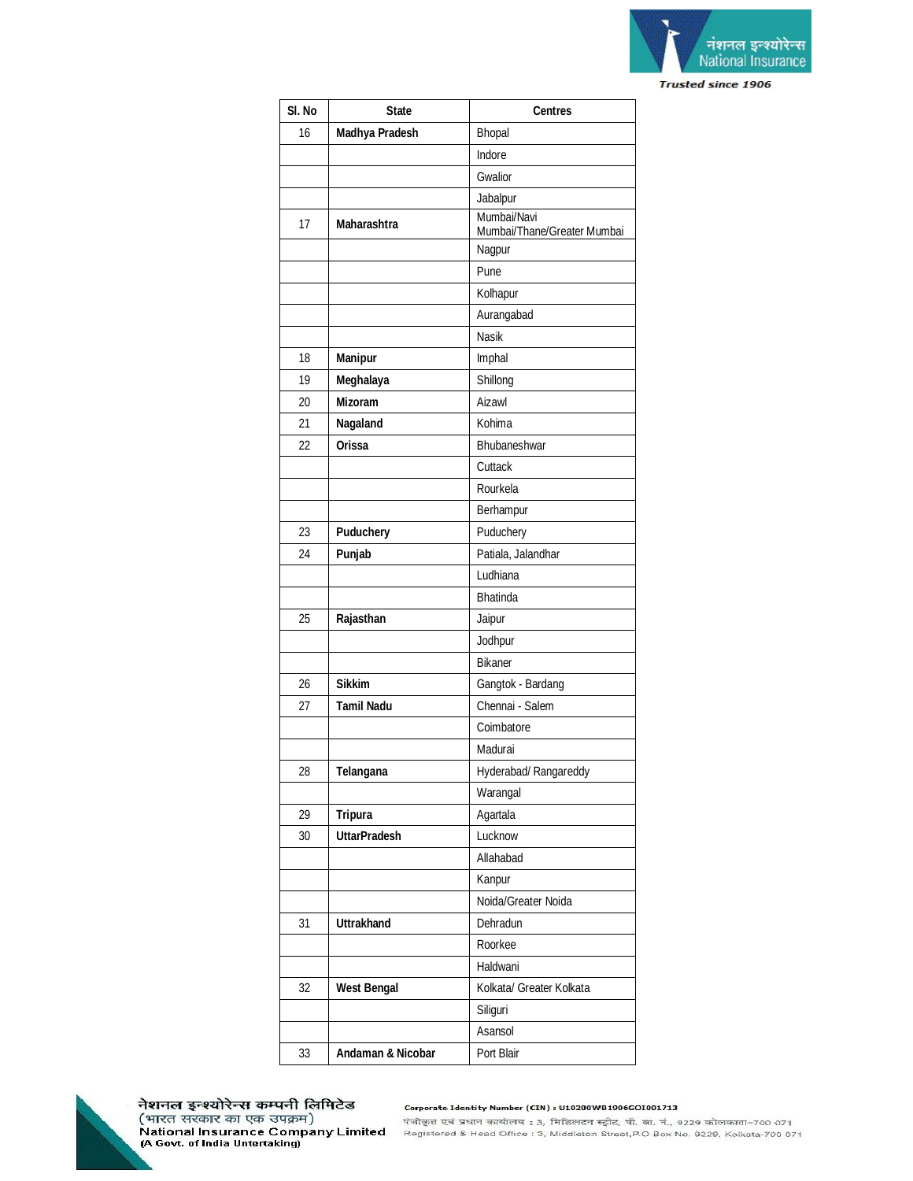

| SI. No | <b>State</b>        | <b>Centres</b>                             |
|--------|---------------------|--------------------------------------------|
| 16     | Madhya Pradesh      | Bhopal                                     |
|        |                     | Indore                                     |
|        |                     | Gwalior                                    |
|        |                     | Jabalpur                                   |
| 17     | <b>Maharashtra</b>  | Mumbai/Navi<br>Mumbai/Thane/Greater Mumbai |
|        |                     | Nagpur                                     |
|        |                     | Pune                                       |
|        |                     | Kolhapur                                   |
|        |                     | Aurangabad                                 |
|        |                     | <b>Nasik</b>                               |
| 18     | <b>Manipur</b>      | Imphal                                     |
| 19     | Meghalaya           | Shillong                                   |
| 20     | <b>Mizoram</b>      | Aizawl                                     |
| 21     | Nagaland            | Kohima                                     |
| 22     | <b>Orissa</b>       | Bhubaneshwar                               |
|        |                     | Cuttack                                    |
|        |                     | Rourkela                                   |
|        |                     | Berhampur                                  |
| 23     | <b>Puduchery</b>    | Puduchery                                  |
| 24     | Punjab              | Patiala, Jalandhar                         |
|        |                     | Ludhiana                                   |
|        |                     | <b>Bhatinda</b>                            |
| 25     | Rajasthan           | Jaipur                                     |
|        |                     | Jodhpur                                    |
|        |                     | <b>Bikaner</b>                             |
| 26     | <b>Sikkim</b>       | Gangtok - Bardang                          |
| 27     | Tamil Nadu          | Chennai - Salem                            |
|        |                     | Coimbatore                                 |
|        |                     | Madurai                                    |
| 28     | Telangana           | Hyderabad/ Rangareddy                      |
|        |                     | Warangal                                   |
| 29     | <b>Tripura</b>      | Agartala                                   |
| 30     | <b>UttarPradesh</b> | Lucknow                                    |
|        |                     | Allahabad                                  |
|        |                     | Kanpur                                     |
|        |                     | Noida/Greater Noida                        |
| 31     | <b>Uttrakhand</b>   | Dehradun                                   |
|        |                     | Roorkee                                    |
|        |                     | Haldwani                                   |
| 32     | <b>West Bengal</b>  | Kolkata/ Greater Kolkata                   |
|        |                     | Siliguri                                   |
|        |                     | Asansol                                    |
| 33     | Andaman & Nicobar   | Port Blair                                 |



नेशनल इन्श्योरेन्स कम्पनी लिमिटेड (भारत सरकार का एक उपक्रम)<br>National Insurance Company Limited<br>(A Govt. of India Untertaking)

Corporate Identity Number (CIN) : U10200WB1906GOI001713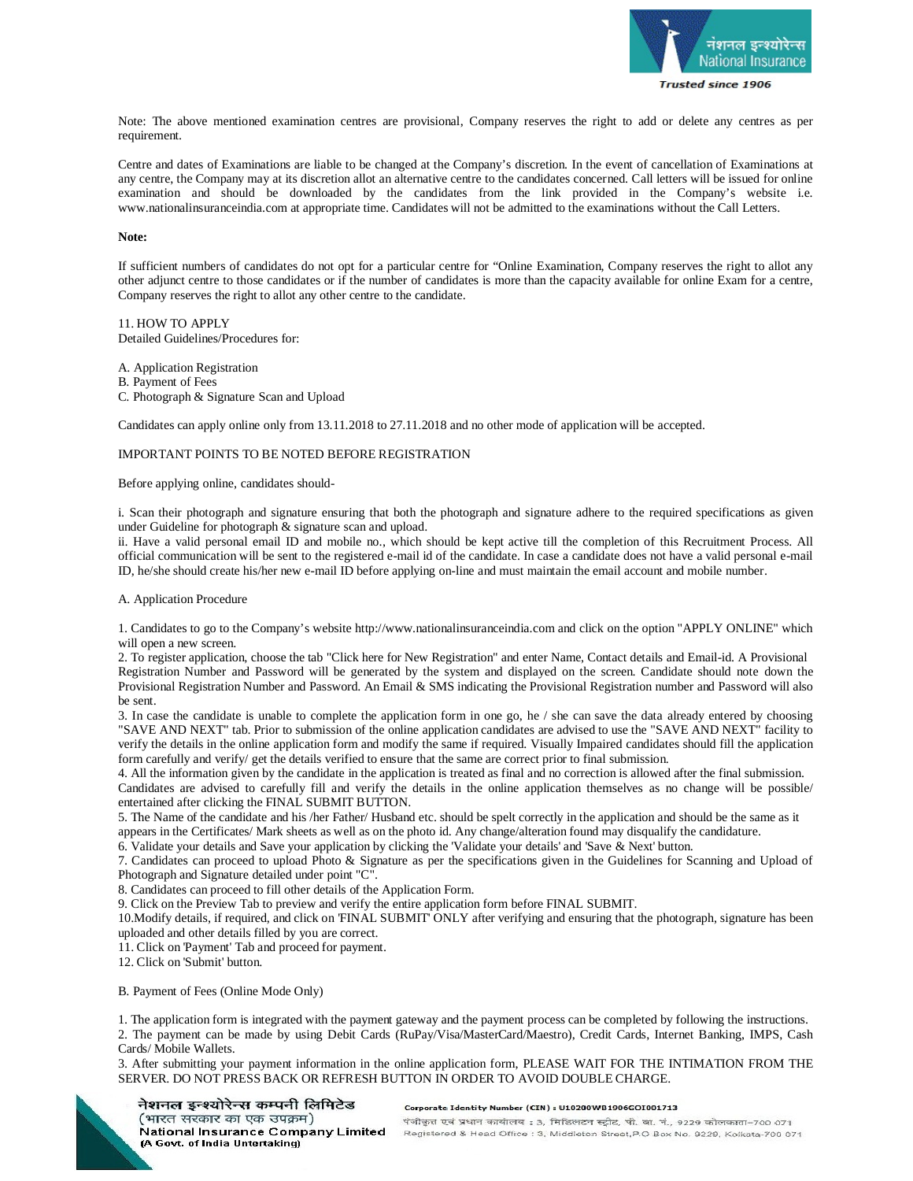

Note: The above mentioned examination centres are provisional, Company reserves the right to add or delete any centres as per requirement.

Centre and dates of Examinations are liable to be changed at the Company's discretion. In the event of cancellation of Examinations at any centre, the Company may at its discretion allot an alternative centre to the candidates concerned. Call letters will be issued for online examination and should be downloaded by the candidates from the link provided in the Company's website i.e. [www.nationalinsuranceindia.com](http://www.nationalinsuranceindia.com) at appropriate time. Candidates will not be admitted to the examinations without the Call Letters.

## **Note:**

If sufficient numbers of candidates do not opt for a particular centre for "Online Examination, Company reserves the right to allot any other adjunct centre to those candidates or if the number of candidates is more than the capacity available for online Exam for a centre, Company reserves the right to allot any other centre to the candidate.

11. HOW TO APPLY Detailed Guidelines/Procedures for:

A. Application Registration

B. Payment of Fees

C. Photograph & Signature Scan and Upload

Candidates can apply online only from 13.11.2018 to 27.11.2018 and no other mode of application will be accepted.

## IMPORTANT POINTS TO BE NOTED BEFORE REGISTRATION

Before applying online, candidates should-

i. Scan their photograph and signature ensuring that both the photograph and signature adhere to the required specifications as given under Guideline for photograph & signature scan and upload.

ii. Have a valid personal email ID and mobile no., which should be kept active till the completion of this Recruitment Process. All official communication will be sent to the registered e-mail id of the candidate. In case a candidate does not have a valid personal e-mail ID, he/she should create his/her new e-mail ID before applying on-line and must maintain the email account and mobile number.

#### A. Application Procedure

1. Candidates to go to the Company's website<http://www.nationalinsuranceindia.com> and click on the option "APPLY ONLINE" which will open a new screen.

2. To register application, choose the tab "Click here for New Registration" and enter Name, Contact details and Email-id. A Provisional Registration Number and Password will be generated by the system and displayed on the screen. Candidate should note down the Provisional Registration Number and Password. An Email & SMS indicating the Provisional Registration number and Password will also be sent.

3. In case the candidate is unable to complete the application form in one go, he / she can save the data already entered by choosing "SAVE AND NEXT" tab. Prior to submission of the online application candidates are advised to use the "SAVE AND NEXT" facility to verify the details in the online application form and modify the same if required. Visually Impaired candidates should fill the application form carefully and verify/ get the details verified to ensure that the same are correct prior to final submission.

4. All the information given by the candidate in the application is treated as final and no correction is allowed after the final submission. Candidates are advised to carefully fill and verify the details in the online application themselves as no change will be possible/ entertained after clicking the FINAL SUBMIT BUTTON.

5. The Name of the candidate and his /her Father/ Husband etc. should be spelt correctly in the application and should be the same as it appears in the Certificates/ Mark sheets as well as on the photo id. Any change/alteration found may disqualify the candidature.

6. Validate your details and Save your application by clicking the 'Validate your details' and 'Save & Next' button.

7. Candidates can proceed to upload Photo & Signature as per the specifications given in the Guidelines for Scanning and Upload of Photograph and Signature detailed under point "C".

8. Candidates can proceed to fill other details of the Application Form.

9. Click on the Preview Tab to preview and verify the entire application form before FINAL SUBMIT.

10.Modify details, if required, and click on 'FINAL SUBMIT' ONLY after verifying and ensuring that the photograph, signature has been uploaded and other details filled by you are correct.

11. Click on 'Payment' Tab and proceed for payment.

12. Click on 'Submit' button.

B. Payment of Fees (Online Mode Only)

1. The application form is integrated with the payment gateway and the payment process can be completed by following the instructions. 2. The payment can be made by using Debit Cards (RuPay/Visa/MasterCard/Maestro), Credit Cards, Internet Banking, IMPS, Cash Cards/ Mobile Wallets.

3. After submitting your payment information in the online application form, PLEASE WAIT FOR THE INTIMATION FROM THE SERVER. DO NOT PRESS BACK OR REFRESH BUTTON IN ORDER TO AVOID DOUBLE CHARGE.

नेशनल इन्श्योरेन्स कम्पनी लिमिटेड (भारत सरकार का एक उपक्रम) National Insurance Company Limited (A Govt. of India Untertaking)

#### Corporate Identity Number (CIN) : U10200WB1906GOI001713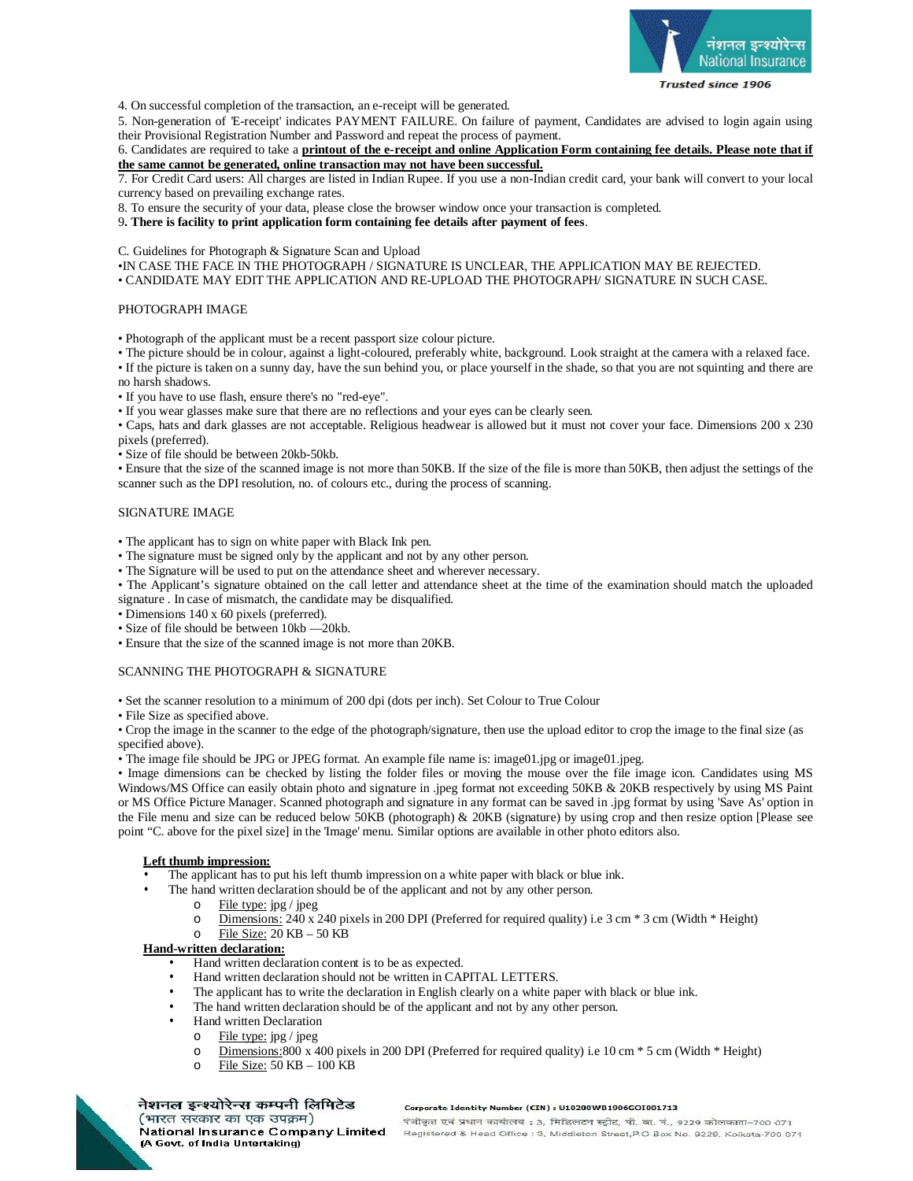

4. On successful completion of the transaction, an e-receipt will be generated.

5. Non-generation of 'E-receipt' indicates PAYMENT FAILURE. On failure of payment, Candidates are advised to login again using their Provisional Registration Number and Password and repeat the process of payment.

6. Candidates are required to take a **printout of the e-receipt and online Application Form containing fee details. Please note that if the same cannot be generated, online transaction may not have been successful.**

7. For Credit Card users: All charges are listed in Indian Rupee. If you use a non-Indian credit card, your bank will convert to your local currency based on prevailing exchange rates.

8. To ensure the security of your data, please close the browser window once your transaction is completed.

9**. There is facility to print application form containing fee details after payment of fees**.

C. Guidelines for Photograph & Signature Scan and Upload

•IN CASE THE FACE IN THE PHOTOGRAPH / SIGNATURE IS UNCLEAR, THE APPLICATION MAY BE REJECTED.

• CANDIDATE MAY EDIT THE APPLICATION AND RE-UPLOAD THE PHOTOGRAPH/ SIGNATURE IN SUCH CASE.

## PHOTOGRAPH IMAGE

• Photograph of the applicant must be a recent passport size colour picture.

• The picture should be in colour, against a light-coloured, preferably white, background. Look straight at the camera with a relaxed face. • If the picture is taken on a sunny day, have the sun behind you, or place yourself in the shade, so that you are not squinting and there are no harsh shadows.

• If you have to use flash, ensure there's no "red-eye".

• If you wear glasses make sure that there are no reflections and your eyes can be clearly seen.

• Caps, hats and dark glasses are not acceptable. Religious headwear is allowed but it must not cover your face. Dimensions 200 x 230 pixels (preferred).

• Size of file should be between 20kb-50kb.

• Ensure that the size of the scanned image is not more than 50KB. If the size of the file is more than 50KB, then adjust the settings of the scanner such as the DPI resolution, no. of colours etc., during the process of scanning.

## SIGNATURE IMAGE

• The applicant has to sign on white paper with Black Ink pen.

- The signature must be signed only by the applicant and not by any other person.
- The Signature will be used to put on the attendance sheet and wherever necessary.

• The Applicant's signature obtained on the call letter and attendance sheet at the time of the examination should match the uploaded signature . In case of mismatch, the candidate may be disqualified.

- Dimensions 140 x 60 pixels (preferred).
- Size of file should be between 10kb —20kb.
- Ensure that the size of the scanned image is not more than 20KB.

## SCANNING THE PHOTOGRAPH & SIGNATURE

• Set the scanner resolution to a minimum of 200 dpi (dots per inch). Set Colour to True Colour

• File Size as specified above.

• Crop the image in the scanner to the edge of the photograph/signature, then use the upload editor to crop the image to the final size (as specified above).

• The image file should be JPG or JPEG format. An example file name is: image01.jpg or image01.jpeg.

• Image dimensions can be checked by listing the folder files or moving the mouse over the file image icon. Candidates using MS Windows/MS Office can easily obtain photo and signature in .jpeg format not exceeding 50KB & 20KB respectively by using MS Paint or MS Office Picture Manager. Scanned photograph and signature in any format can be saved in .jpg format by using 'Save As' option in the File menu and size can be reduced below 50KB (photograph) & 20KB (signature) by using crop and then resize option [Please see point "C. above for the pixel size] in the 'Image' menu. Similar options are available in other photo editors also.

# **Left thumb impression:**

The applicant has to put his left thumb impression on a white paper with black or blue ink.

- The hand written declaration should be of the applicant and not by any other person.
	- File type: jpg / jpeg
	- o Dimensions: 240 x 240 pixels in 200 DPI (Preferred for required quality) i.e 3 cm \* 3 cm (Width \* Height)

o File Size:  $20$  KB –  $50$  KB

## **Hand-written declaration:**

- Hand written declaration content is to be as expected.
- Hand written declaration should not be written in CAPITAL LETTERS.
- The applicant has to write the declaration in English clearly on a white paper with black or blue ink.
- The hand written declaration should be of the applicant and not by any other person.
- Hand written Declaration
	- o File type: jpg / jpeg
	- o Dimensions:800 x 400 pixels in 200 DPI (Preferred for required quality) i.e 10 cm \* 5 cm (Width \* Height)
	- o File Size: 50 KB 100 KB



#### नेशनल इन्श्योरेन्स कम्पनी लिमिटेड (भारत सरकार का एक उपक्रम)

(A Govt. of India Untertaking)

#### Corporate Identity Number (CIN) : U10200WB1906GOI001713

.<br>पंजीकृत एवं प्रधान कार्यालय : 3, मिडिलटन स्ट्रीट, पी. बा. नं., 9229 कोलकाता-700 071 National Insurance Company Limited Registered & Head Office : 3, Middleton Street, P.O Box No. 9229, Kolkata-700 071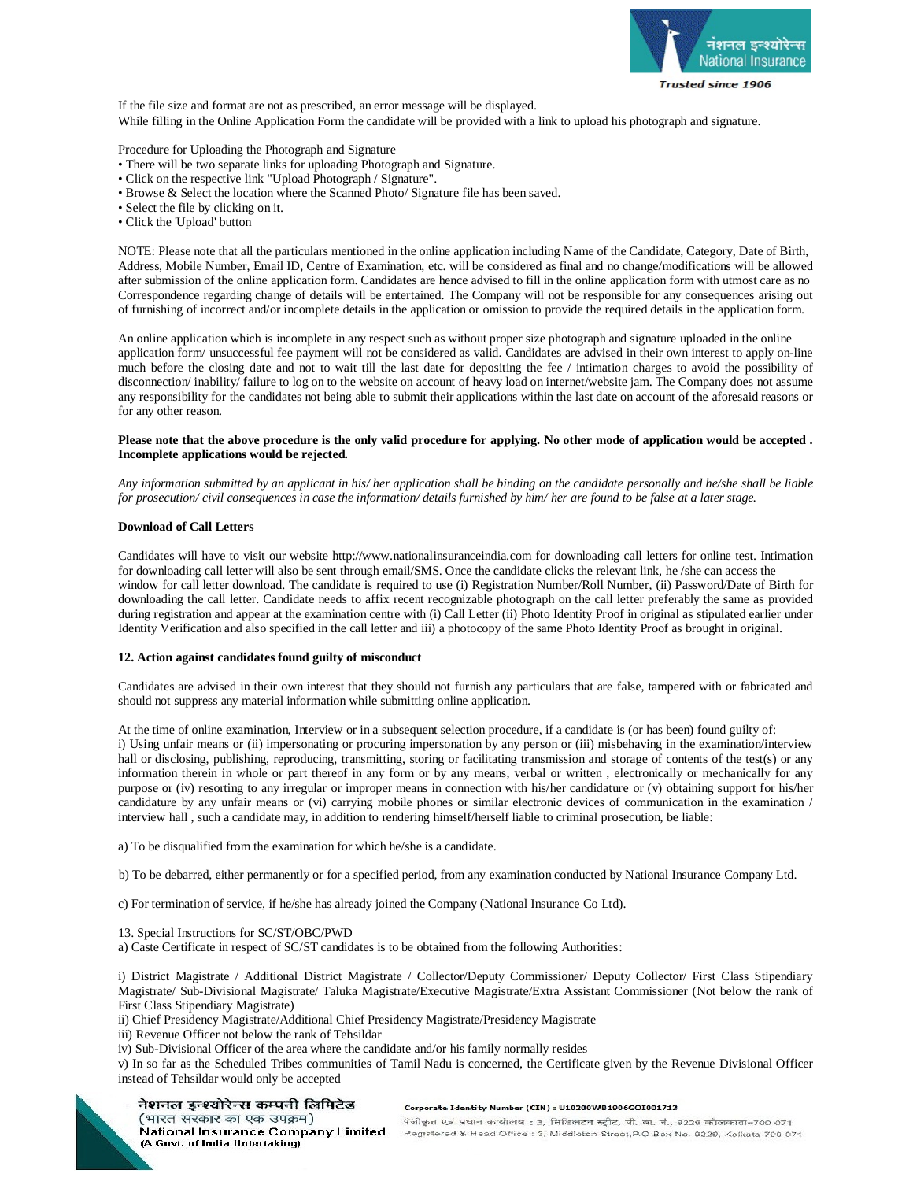

If the file size and format are not as prescribed, an error message will be displayed. While filling in the Online Application Form the candidate will be provided with a link to upload his photograph and signature.

Procedure for Uploading the Photograph and Signature

- There will be two separate links for uploading Photograph and Signature.
- Click on the respective link "Upload Photograph / Signature".
- Browse & Select the location where the Scanned Photo/ Signature file has been saved.
- Select the file by clicking on it.
- Click the 'Upload' button

NOTE: Please note that all the particulars mentioned in the online application including Name of the Candidate, Category, Date of Birth, Address, Mobile Number, Email ID, Centre of Examination, etc. will be considered as final and no change/modifications will be allowed after submission of the online application form. Candidates are hence advised to fill in the online application form with utmost care as no Correspondence regarding change of details will be entertained. The Company will not be responsible for any consequences arising out of furnishing of incorrect and/or incomplete details in the application or omission to provide the required details in the application form.

An online application which is incomplete in any respect such as without proper size photograph and signature uploaded in the online application form/ unsuccessful fee payment will not be considered as valid. Candidates are advised in their own interest to apply on-line much before the closing date and not to wait till the last date for depositing the fee / intimation charges to avoid the possibility of disconnection/ inability/ failure to log on to the website on account of heavy load on internet/website jam. The Company does not assume any responsibility for the candidates not being able to submit their applications within the last date on account of the aforesaid reasons or for any other reason.

## **Please note that the above procedure is the only valid procedure for applying. No other mode of application would be accepted . Incomplete applications would be rejected.**

*Any information submitted by an applicant in his/ her application shall be binding on the candidate personally and he/she shall be liable for prosecution/ civil consequences in case the information/ details furnished by him/ her are found to be false at a later stage.* 

## **Download of Call Letters**

Candidates will have to visit our website <http://www.nationalinsuranceindia.com>for downloading call letters for online test. Intimation for downloading call letter will also be sent through email/SMS. Once the candidate clicks the relevant link, he /she can access the window for call letter download. The candidate is required to use (i) Registration Number/Roll Number, (ii) Password/Date of Birth for downloading the call letter. Candidate needs to affix recent recognizable photograph on the call letter preferably the same as provided during registration and appear at the examination centre with (i) Call Letter (ii) Photo Identity Proof in original as stipulated earlier under Identity Verification and also specified in the call letter and iii) a photocopy of the same Photo Identity Proof as brought in original.

## **12. Action against candidates found guilty of misconduct**

Candidates are advised in their own interest that they should not furnish any particulars that are false, tampered with or fabricated and should not suppress any material information while submitting online application.

At the time of online examination, Interview or in a subsequent selection procedure, if a candidate is (or has been) found guilty of: i) Using unfair means or (ii) impersonating or procuring impersonation by any person or (iii) misbehaving in the examination/interview hall or disclosing, publishing, reproducing, transmitting, storing or facilitating transmission and storage of contents of the test(s) or any information therein in whole or part thereof in any form or by any means, verbal or written , electronically or mechanically for any purpose or (iv) resorting to any irregular or improper means in connection with his/her candidature or (v) obtaining support for his/her candidature by any unfair means or (vi) carrying mobile phones or similar electronic devices of communication in the examination / interview hall , such a candidate may, in addition to rendering himself/herself liable to criminal prosecution, be liable:

a) To be disqualified from the examination for which he/she is a candidate.

- b) To be debarred, either permanently or for a specified period, from any examination conducted by National Insurance Company Ltd.
- c) For termination of service, if he/she has already joined the Company (National Insurance Co Ltd).
- 13. Special Instructions for SC/ST/OBC/PWD

a) Caste Certificate in respect of SC/ST candidates is to be obtained from the following Authorities:

i) District Magistrate / Additional District Magistrate / Collector/Deputy Commissioner/ Deputy Collector/ First Class Stipendiary Magistrate/ Sub-Divisional Magistrate/ Taluka Magistrate/Executive Magistrate/Extra Assistant Commissioner (Not below the rank of First Class Stipendiary Magistrate)

ii) Chief Presidency Magistrate/Additional Chief Presidency Magistrate/Presidency Magistrate

iii) Revenue Officer not below the rank of Tehsildar

iv) Sub-Divisional Officer of the area where the candidate and/or his family normally resides

v) In so far as the Scheduled Tribes communities of Tamil Nadu is concerned, the Certificate given by the Revenue Divisional Officer instead of Tehsildar would only be accepted



## नेशनल इन्श्योरेन्स कम्पनी लिमिटेड (भारत सरकार का एक उपक्रम)

(A Govt. of India Untertaking)

Corporate Identity Number (CIN) : U10200WB1906GOI001713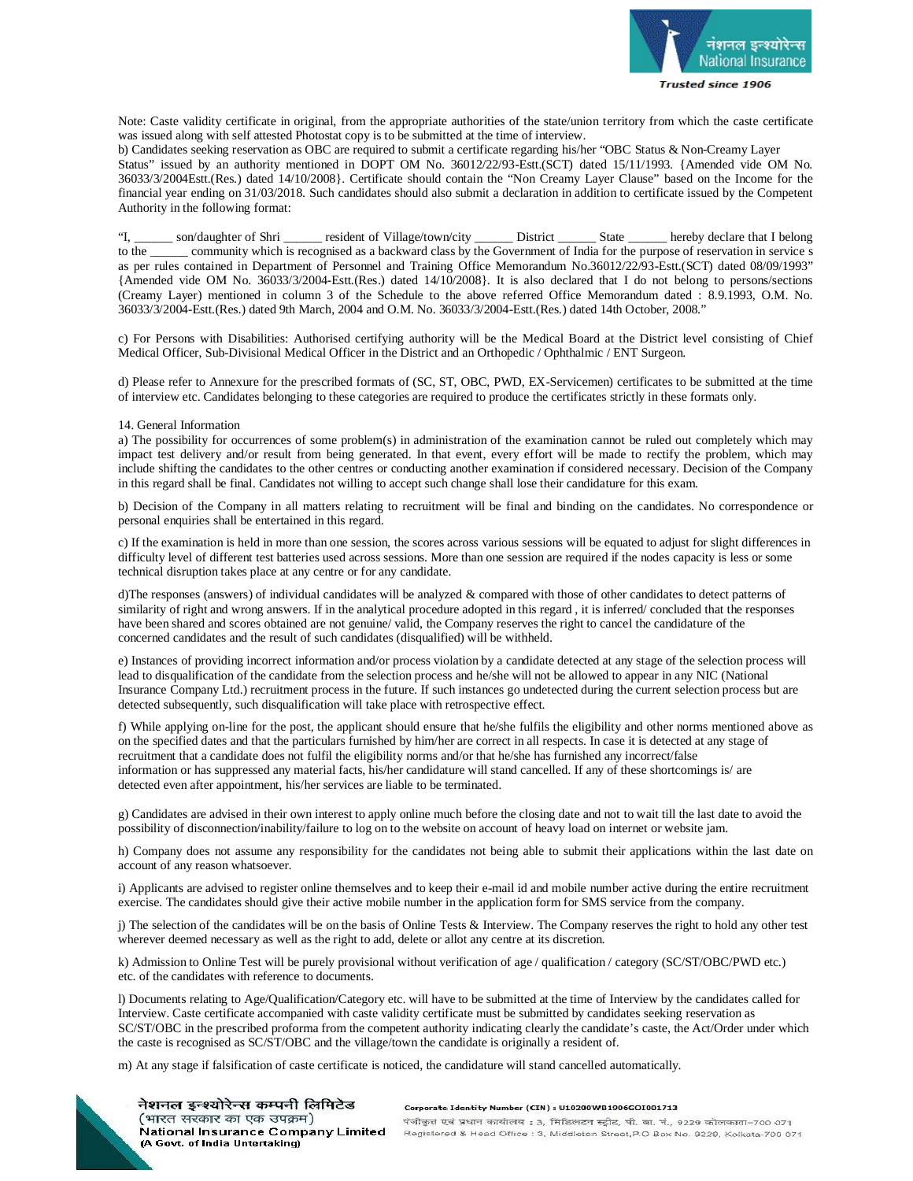

Note: Caste validity certificate in original, from the appropriate authorities of the state/union territory from which the caste certificate was issued along with self attested Photostat copy is to be submitted at the time of interview.

b) Candidates seeking reservation as OBC are required to submit a certificate regarding his/her "OBC Status & Non-Creamy Layer Status" issued by an authority mentioned in DOPT OM No. 36012/22/93-Estt.(SCT) dated 15/11/1993. {Amended vide OM No. 36033/3/2004Estt.(Res.) dated 14/10/2008}. Certificate should contain the "Non Creamy Layer Clause" based on the Income for the financial year ending on 31/03/2018. Such candidates should also submit a declaration in addition to certificate issued by the Competent Authority in the following format:

"I, \_\_\_\_\_\_ son/daughter of Shri \_\_\_\_\_\_ resident of Village/town/city \_\_\_\_\_\_ District \_\_\_\_\_\_\_ State \_\_\_\_\_\_\_ hereby declare that I belong to the \_\_\_\_\_ community which is recognised as a backward class by the Government of In community which is recognised as a backward class by the Government of India for the purpose of reservation in service s as per rules contained in Department of Personnel and Training Office Memorandum No.36012/22/93-Estt.(SCT) dated 08/09/1993" {Amended vide OM No. 36033/3/2004-Estt.(Res.) dated 14/10/2008}. It is also declared that I do not belong to persons/sections (Creamy Layer) mentioned in column 3 of the Schedule to the above referred Office Memorandum dated : 8.9.1993, O.M. No. 36033/3/2004-Estt.(Res.) dated 9th March, 2004 and O.M. No. 36033/3/2004-Estt.(Res.) dated 14th October, 2008."

c) For Persons with Disabilities: Authorised certifying authority will be the Medical Board at the District level consisting of Chief Medical Officer, Sub-Divisional Medical Officer in the District and an Orthopedic / Ophthalmic / ENT Surgeon.

d) Please refer to Annexure for the prescribed formats of (SC, ST, OBC, PWD, EX-Servicemen) certificates to be submitted at the time of interview etc. Candidates belonging to these categories are required to produce the certificates strictly in these formats only.

#### 14. General Information

a) The possibility for occurrences of some problem(s) in administration of the examination cannot be ruled out completely which may impact test delivery and/or result from being generated. In that event, every effort will be made to rectify the problem, which may include shifting the candidates to the other centres or conducting another examination if considered necessary. Decision of the Company in this regard shall be final. Candidates not willing to accept such change shall lose their candidature for this exam.

b) Decision of the Company in all matters relating to recruitment will be final and binding on the candidates. No correspondence or personal enquiries shall be entertained in this regard.

c) If the examination is held in more than one session, the scores across various sessions will be equated to adjust for slight differences in difficulty level of different test batteries used across sessions. More than one session are required if the nodes capacity is less or some technical disruption takes place at any centre or for any candidate.

d)The responses (answers) of individual candidates will be analyzed & compared with those of other candidates to detect patterns of similarity of right and wrong answers. If in the analytical procedure adopted in this regard , it is inferred/ concluded that the responses have been shared and scores obtained are not genuine/ valid, the Company reserves the right to cancel the candidature of the concerned candidates and the result of such candidates (disqualified) will be withheld.

e) Instances of providing incorrect information and/or process violation by a candidate detected at any stage of the selection process will lead to disqualification of the candidate from the selection process and he/she will not be allowed to appear in any NIC (National Insurance Company Ltd.) recruitment process in the future. If such instances go undetected during the current selection process but are detected subsequently, such disqualification will take place with retrospective effect.

f) While applying on-line for the post, the applicant should ensure that he/she fulfils the eligibility and other norms mentioned above as on the specified dates and that the particulars furnished by him/her are correct in all respects. In case it is detected at any stage of recruitment that a candidate does not fulfil the eligibility norms and/or that he/she has furnished any incorrect/false information or has suppressed any material facts, his/her candidature will stand cancelled. If any of these shortcomings is/ are detected even after appointment, his/her services are liable to be terminated.

g) Candidates are advised in their own interest to apply online much before the closing date and not to wait till the last date to avoid the possibility of disconnection/inability/failure to log on to the website on account of heavy load on internet or website jam.

h) Company does not assume any responsibility for the candidates not being able to submit their applications within the last date on account of any reason whatsoever.

i) Applicants are advised to register online themselves and to keep their e-mail id and mobile number active during the entire recruitment exercise. The candidates should give their active mobile number in the application form for SMS service from the company.

j) The selection of the candidates will be on the basis of Online Tests & Interview. The Company reserves the right to hold any other test wherever deemed necessary as well as the right to add, delete or allot any centre at its discretion.

k) Admission to Online Test will be purely provisional without verification of age / qualification / category (SC/ST/OBC/PWD etc.) etc. of the candidates with reference to documents.

l) Documents relating to Age/Qualification/Category etc. will have to be submitted at the time of Interview by the candidates called for Interview. Caste certificate accompanied with caste validity certificate must be submitted by candidates seeking reservation as SC/ST/OBC in the prescribed proforma from the competent authority indicating clearly the candidate's caste, the Act/Order under which the caste is recognised as SC/ST/OBC and the village/town the candidate is originally a resident of.

m) At any stage if falsification of caste certificate is noticed, the candidature will stand cancelled automatically.



नेशनल इन्श्योरेन्स कम्पनी लिमिटेड (भारत सरकार का एक उपक्रम) National Insurance Company Limited (A Govt. of India Untertaking)

Corporate Identity Number (CIN) : U10200WB1906GOI001713